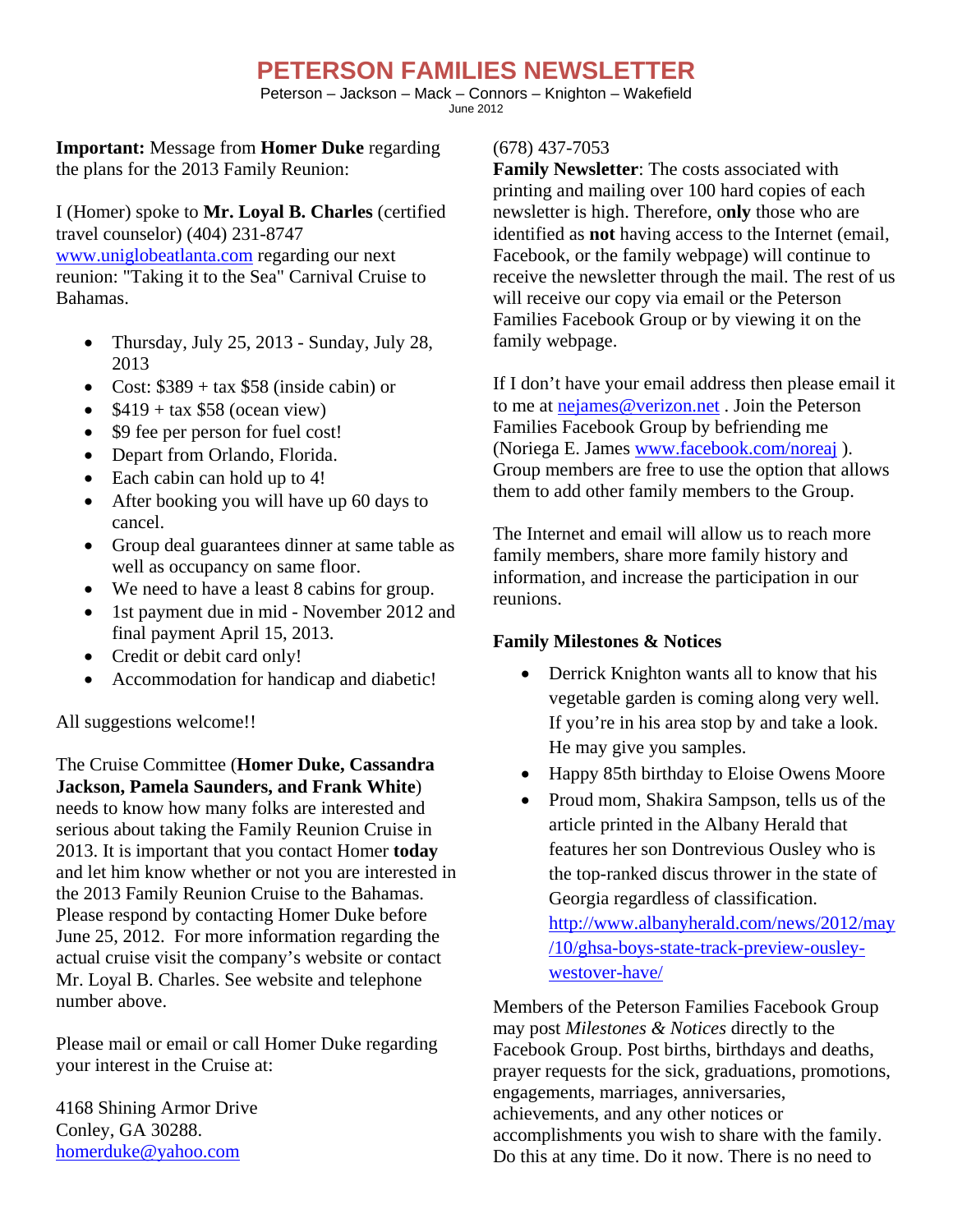## **PETERSON FAMILIES NEWSLETTER**

Peterson – Jackson – Mack – Connors – Knighton – Wakefield June 2012

**Important:** Message from **Homer Duke** regarding the plans for the 2013 Family Reunion:

I (Homer) spoke to **Mr. Loyal B. Charles** (certified travel counselor) (404) 231-8747 www.uniglobeatlanta.com regarding our next reunion: "Taking it to the Sea" Carnival Cruise to Bahamas.

- Thursday, July 25, 2013 Sunday, July 28, 2013
- Cost:  $$389 + tax $58$  (inside cabin) or
- $\bullet$  \$419 + tax \$58 (ocean view)
- \$9 fee per person for fuel cost!
- Depart from Orlando, Florida.
- Each cabin can hold up to 4!
- After booking you will have up 60 days to cancel.
- Group deal guarantees dinner at same table as well as occupancy on same floor.
- We need to have a least 8 cabins for group.
- 1st payment due in mid November 2012 and final payment April 15, 2013.
- Credit or debit card only!
- Accommodation for handicap and diabetic!

All suggestions welcome!!

The Cruise Committee (**Homer Duke, Cassandra Jackson, Pamela Saunders, and Frank White**) needs to know how many folks are interested and serious about taking the Family Reunion Cruise in 2013. It is important that you contact Homer **today** and let him know whether or not you are interested in the 2013 Family Reunion Cruise to the Bahamas. Please respond by contacting Homer Duke before June 25, 2012. For more information regarding the actual cruise visit the company's website or contact Mr. Loyal B. Charles. See website and telephone number above.

Please mail or email or call Homer Duke regarding your interest in the Cruise at:

4168 Shining Armor Drive Conley, GA 30288. homerduke@yahoo.com

## (678) 437-7053

**Family Newsletter**: The costs associated with printing and mailing over 100 hard copies of each newsletter is high. Therefore, o**nly** those who are identified as **not** having access to the Internet (email, Facebook, or the family webpage) will continue to receive the newsletter through the mail. The rest of us will receive our copy via email or the Peterson Families Facebook Group or by viewing it on the family webpage.

If I don't have your email address then please email it to me at nejames@verizon.net . Join the Peterson Families Facebook Group by befriending me (Noriega E. James www.facebook.com/noreaj ). Group members are free to use the option that allows them to add other family members to the Group.

The Internet and email will allow us to reach more family members, share more family history and information, and increase the participation in our reunions.

## **Family Milestones & Notices**

- Derrick Knighton wants all to know that his vegetable garden is coming along very well. If you're in his area stop by and take a look. He may give you samples.
- Happy 85th birthday to Eloise Owens Moore
- Proud mom, Shakira Sampson, tells us of the article printed in the Albany Herald that features her son Dontrevious Ousley who is the top-ranked discus thrower in the state of Georgia regardless of classification. http://www.albanyherald.com/news/2012/may /10/ghsa-boys-state-track-preview-ousleywestover-have/

Members of the Peterson Families Facebook Group may post *Milestones & Notices* directly to the Facebook Group. Post births, birthdays and deaths, prayer requests for the sick, graduations, promotions, engagements, marriages, anniversaries, achievements, and any other notices or accomplishments you wish to share with the family. Do this at any time. Do it now. There is no need to